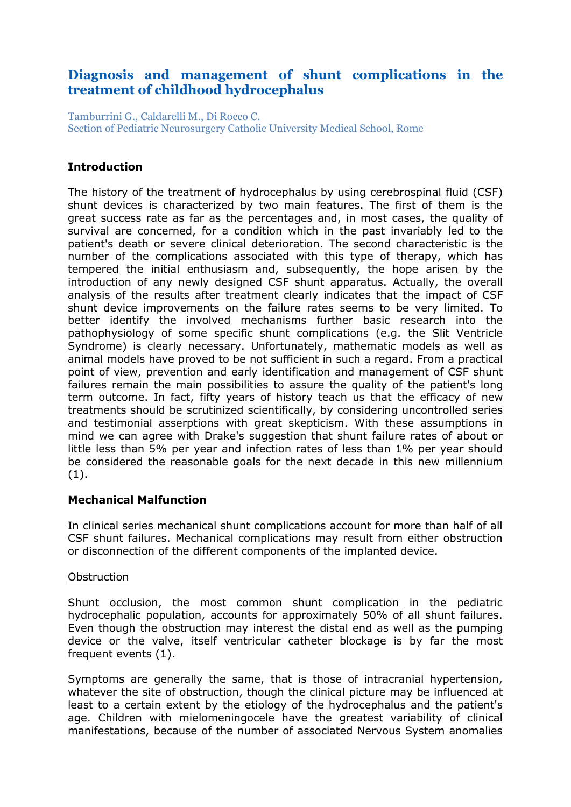# **Diagnosis and management of shunt complications in the treatment of childhood hydrocephalus**

Tamburrini G., Caldarelli M., Di Rocco C. Section of Pediatric Neurosurgery Catholic University Medical School, Rome

### **Introduction**

The history of the treatment of hydrocephalus by using cerebrospinal fluid (CSF) shunt devices is characterized by two main features. The first of them is the great success rate as far as the percentages and, in most cases, the quality of survival are concerned, for a condition which in the past invariably led to the patient's death or severe clinical deterioration. The second characteristic is the number of the complications associated with this type of therapy, which has tempered the initial enthusiasm and, subsequently, the hope arisen by the introduction of any newly designed CSF shunt apparatus. Actually, the overall analysis of the results after treatment clearly indicates that the impact of CSF shunt device improvements on the failure rates seems to be very limited. To better identify the involved mechanisms further basic research into the pathophysiology of some specific shunt complications (e.g. the Slit Ventricle Syndrome) is clearly necessary. Unfortunately, mathematic models as well as animal models have proved to be not sufficient in such a regard. From a practical point of view, prevention and early identification and management of CSF shunt failures remain the main possibilities to assure the quality of the patient's long term outcome. In fact, fifty years of history teach us that the efficacy of new treatments should be scrutinized scientifically, by considering uncontrolled series and testimonial asserptions with great skepticism. With these assumptions in mind we can agree with Drake's suggestion that shunt failure rates of about or little less than 5% per year and infection rates of less than 1% per year should be considered the reasonable goals for the next decade in this new millennium (1).

#### **Mechanical Malfunction**

In clinical series mechanical shunt complications account for more than half of all CSF shunt failures. Mechanical complications may result from either obstruction or disconnection of the different components of the implanted device.

#### **Obstruction**

Shunt occlusion, the most common shunt complication in the pediatric hydrocephalic population, accounts for approximately 50% of all shunt failures. Even though the obstruction may interest the distal end as well as the pumping device or the valve, itself ventricular catheter blockage is by far the most frequent events (1).

Symptoms are generally the same, that is those of intracranial hypertension, whatever the site of obstruction, though the clinical picture may be influenced at least to a certain extent by the etiology of the hydrocephalus and the patient's age. Children with mielomeningocele have the greatest variability of clinical manifestations, because of the number of associated Nervous System anomalies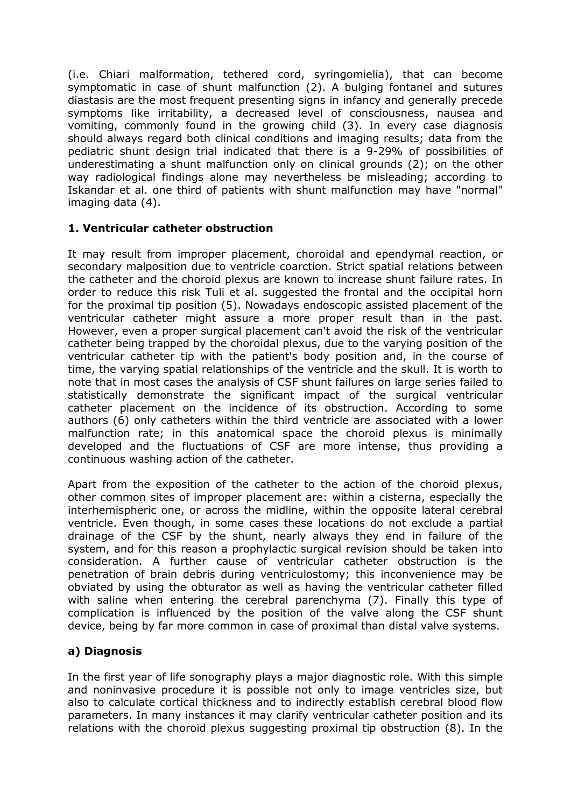(i.e. Chiari malformation, tethered cord, syringomielia), that can become symptomatic in case of shunt malfunction (2). A bulging fontanel and sutures diastasis are the most frequent presenting signs in infancy and generally precede symptoms like irritability, a decreased level of consciousness, nausea and vomiting, commonly found in the growing child (3). In every case diagnosis should always regard both clinical conditions and imaging results; data from the pediatric shunt design trial indicated that there is a 9-29% of possibilities of underestimating a shunt malfunction only on clinical grounds (2); on the other way radiological findings alone may nevertheless be misleading; according to Iskandar et al. one third of patients with shunt malfunction may have "normal" imaging data (4).

## **1. Ventricular catheter obstruction**

It may result from improper placement, choroidal and ependymal reaction, or secondary malposition due to ventricle coarction. Strict spatial relations between the catheter and the choroid plexus are known to increase shunt failure rates. In order to reduce this risk Tuli et al. suggested the frontal and the occipital horn for the proximal tip position (5). Nowadays endoscopic assisted placement of the ventricular catheter might assure a more proper result than in the past. However, even a proper surgical placement can't avoid the risk of the ventricular catheter being trapped by the choroidal plexus, due to the varying position of the ventricular catheter tip with the patient's body position and, in the course of time, the varying spatial relationships of the ventricle and the skull. It is worth to note that in most cases the analysis of CSF shunt failures on large series failed to statistically demonstrate the significant impact of the surgical ventricular catheter placement on the incidence of its obstruction. According to some authors (6) only catheters within the third ventricle are associated with a lower malfunction rate; in this anatomical space the choroid plexus is minimally developed and the fluctuations of CSF are more intense, thus providing a continuous washing action of the catheter.

Apart from the exposition of the catheter to the action of the choroid plexus, other common sites of improper placement are: within a cisterna, especially the interhemispheric one, or across the midline, within the opposite lateral cerebral ventricle. Even though, in some cases these locations do not exclude a partial drainage of the CSF by the shunt, nearly always they end in failure of the system, and for this reason a prophylactic surgical revision should be taken into consideration. A further cause of ventricular catheter obstruction is the penetration of brain debris during ventriculostomy; this inconvenience may be obviated by using the obturator as well as having the ventricular catheter filled with saline when entering the cerebral parenchyma (7). Finally this type of complication is influenced by the position of the valve along the CSF shunt device, being by far more common in case of proximal than distal valve systems.

# **a) Diagnosis**

In the first year of life sonography plays a major diagnostic role. With this simple and noninvasive procedure it is possible not only to image ventricles size, but also to calculate cortical thickness and to indirectly establish cerebral blood flow parameters. In many instances it may clarify ventricular catheter position and its relations with the choroid plexus suggesting proximal tip obstruction (8). In the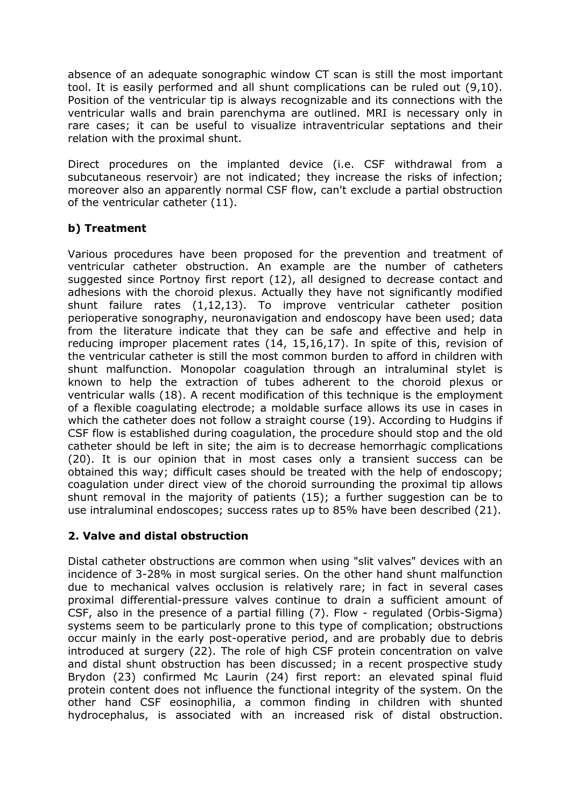absence of an adequate sonographic window CT scan is still the most important tool. It is easily performed and all shunt complications can be ruled out (9,10). Position of the ventricular tip is always recognizable and its connections with the ventricular walls and brain parenchyma are outlined. MRI is necessary only in rare cases; it can be useful to visualize intraventricular septations and their relation with the proximal shunt.

Direct procedures on the implanted device (i.e. CSF withdrawal from a subcutaneous reservoir) are not indicated; they increase the risks of infection; moreover also an apparently normal CSF flow, can't exclude a partial obstruction of the ventricular catheter (11).

## **b) Treatment**

Various procedures have been proposed for the prevention and treatment of ventricular catheter obstruction. An example are the number of catheters suggested since Portnoy first report (12), all designed to decrease contact and adhesions with the choroid plexus. Actually they have not significantly modified shunt failure rates (1,12,13). To improve ventricular catheter position perioperative sonography, neuronavigation and endoscopy have been used; data from the literature indicate that they can be safe and effective and help in reducing improper placement rates (14, 15,16,17). In spite of this, revision of the ventricular catheter is still the most common burden to afford in children with shunt malfunction. Monopolar coagulation through an intraluminal stylet is known to help the extraction of tubes adherent to the choroid plexus or ventricular walls (18). A recent modification of this technique is the employment of a flexible coagulating electrode; a moldable surface allows its use in cases in which the catheter does not follow a straight course (19). According to Hudgins if CSF flow is established during coagulation, the procedure should stop and the old catheter should be left in site; the aim is to decrease hemorrhagic complications (20). It is our opinion that in most cases only a transient success can be obtained this way; difficult cases should be treated with the help of endoscopy; coagulation under direct view of the choroid surrounding the proximal tip allows shunt removal in the majority of patients (15); a further suggestion can be to use intraluminal endoscopes; success rates up to 85% have been described (21).

# **2. Valve and distal obstruction**

Distal catheter obstructions are common when using "slit valves" devices with an incidence of 3-28% in most surgical series. On the other hand shunt malfunction due to mechanical valves occlusion is relatively rare; in fact in several cases proximal differential-pressure valves continue to drain a sufficient amount of CSF, also in the presence of a partial filling (7). Flow - regulated (Orbis-Sigma) systems seem to be particularly prone to this type of complication; obstructions occur mainly in the early post-operative period, and are probably due to debris introduced at surgery (22). The role of high CSF protein concentration on valve and distal shunt obstruction has been discussed; in a recent prospective study Brydon (23) confirmed Mc Laurin (24) first report: an elevated spinal fluid protein content does not influence the functional integrity of the system. On the other hand CSF eosinophilia, a common finding in children with shunted hydrocephalus, is associated with an increased risk of distal obstruction.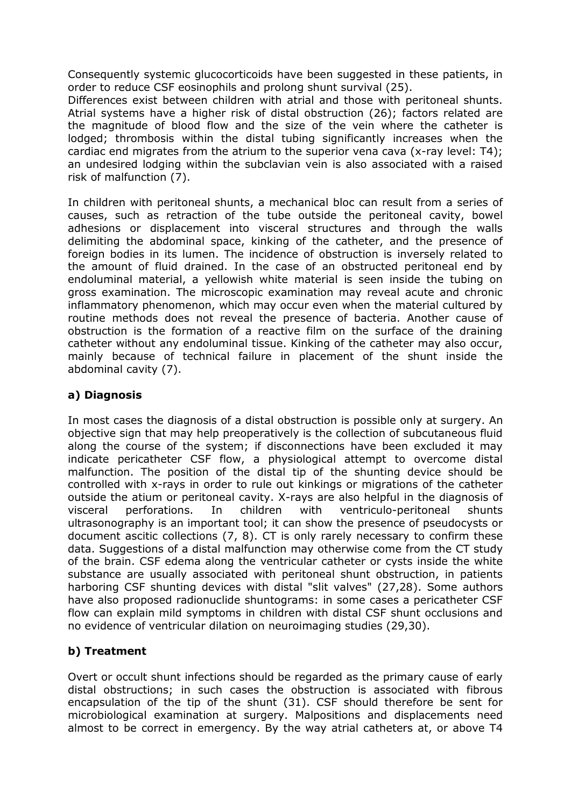Consequently systemic glucocorticoids have been suggested in these patients, in order to reduce CSF eosinophils and prolong shunt survival (25).

Differences exist between children with atrial and those with peritoneal shunts. Atrial systems have a higher risk of distal obstruction (26); factors related are the magnitude of blood flow and the size of the vein where the catheter is lodged; thrombosis within the distal tubing significantly increases when the cardiac end migrates from the atrium to the superior vena cava (x-ray level: T4); an undesired lodging within the subclavian vein is also associated with a raised risk of malfunction (7).

In children with peritoneal shunts, a mechanical bloc can result from a series of causes, such as retraction of the tube outside the peritoneal cavity, bowel adhesions or displacement into visceral structures and through the walls delimiting the abdominal space, kinking of the catheter, and the presence of foreign bodies in its lumen. The incidence of obstruction is inversely related to the amount of fluid drained. In the case of an obstructed peritoneal end by endoluminal material, a yellowish white material is seen inside the tubing on gross examination. The microscopic examination may reveal acute and chronic inflammatory phenomenon, which may occur even when the material cultured by routine methods does not reveal the presence of bacteria. Another cause of obstruction is the formation of a reactive film on the surface of the draining catheter without any endoluminal tissue. Kinking of the catheter may also occur, mainly because of technical failure in placement of the shunt inside the abdominal cavity (7).

### **a) Diagnosis**

In most cases the diagnosis of a distal obstruction is possible only at surgery. An objective sign that may help preoperatively is the collection of subcutaneous fluid along the course of the system; if disconnections have been excluded it may indicate pericatheter CSF flow, a physiological attempt to overcome distal malfunction. The position of the distal tip of the shunting device should be controlled with x-rays in order to rule out kinkings or migrations of the catheter outside the atium or peritoneal cavity. X-rays are also helpful in the diagnosis of visceral perforations. In children with ventriculo-peritoneal shunts ultrasonography is an important tool; it can show the presence of pseudocysts or document ascitic collections (7, 8). CT is only rarely necessary to confirm these data. Suggestions of a distal malfunction may otherwise come from the CT study of the brain. CSF edema along the ventricular catheter or cysts inside the white substance are usually associated with peritoneal shunt obstruction, in patients harboring CSF shunting devices with distal "slit valves" (27,28). Some authors have also proposed radionuclide shuntograms: in some cases a pericatheter CSF flow can explain mild symptoms in children with distal CSF shunt occlusions and no evidence of ventricular dilation on neuroimaging studies (29,30).

# **b) Treatment**

Overt or occult shunt infections should be regarded as the primary cause of early distal obstructions; in such cases the obstruction is associated with fibrous encapsulation of the tip of the shunt (31). CSF should therefore be sent for microbiological examination at surgery. Malpositions and displacements need almost to be correct in emergency. By the way atrial catheters at, or above T4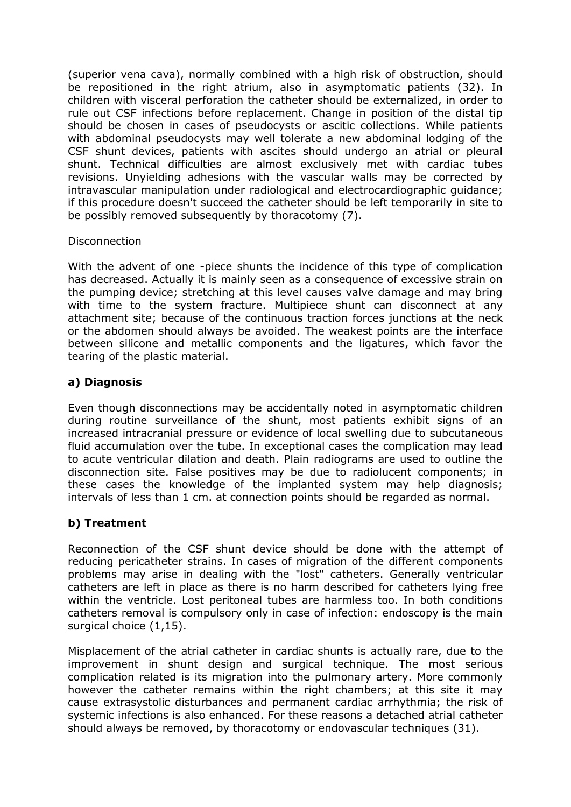(superior vena cava), normally combined with a high risk of obstruction, should be repositioned in the right atrium, also in asymptomatic patients (32). In children with visceral perforation the catheter should be externalized, in order to rule out CSF infections before replacement. Change in position of the distal tip should be chosen in cases of pseudocysts or ascitic collections. While patients with abdominal pseudocysts may well tolerate a new abdominal lodging of the CSF shunt devices, patients with ascites should undergo an atrial or pleural shunt. Technical difficulties are almost exclusively met with cardiac tubes revisions. Unyielding adhesions with the vascular walls may be corrected by intravascular manipulation under radiological and electrocardiographic guidance; if this procedure doesn't succeed the catheter should be left temporarily in site to be possibly removed subsequently by thoracotomy (7).

#### Disconnection

With the advent of one -piece shunts the incidence of this type of complication has decreased. Actually it is mainly seen as a consequence of excessive strain on the pumping device; stretching at this level causes valve damage and may bring with time to the system fracture. Multipiece shunt can disconnect at any attachment site; because of the continuous traction forces junctions at the neck or the abdomen should always be avoided. The weakest points are the interface between silicone and metallic components and the ligatures, which favor the tearing of the plastic material.

#### **a) Diagnosis**

Even though disconnections may be accidentally noted in asymptomatic children during routine surveillance of the shunt, most patients exhibit signs of an increased intracranial pressure or evidence of local swelling due to subcutaneous fluid accumulation over the tube. In exceptional cases the complication may lead to acute ventricular dilation and death. Plain radiograms are used to outline the disconnection site. False positives may be due to radiolucent components; in these cases the knowledge of the implanted system may help diagnosis; intervals of less than 1 cm. at connection points should be regarded as normal.

#### **b) Treatment**

Reconnection of the CSF shunt device should be done with the attempt of reducing pericatheter strains. In cases of migration of the different components problems may arise in dealing with the "lost" catheters. Generally ventricular catheters are left in place as there is no harm described for catheters lying free within the ventricle. Lost peritoneal tubes are harmless too. In both conditions catheters removal is compulsory only in case of infection: endoscopy is the main surgical choice  $(1,15)$ .

Misplacement of the atrial catheter in cardiac shunts is actually rare, due to the improvement in shunt design and surgical technique. The most serious complication related is its migration into the pulmonary artery. More commonly however the catheter remains within the right chambers; at this site it may cause extrasystolic disturbances and permanent cardiac arrhythmia; the risk of systemic infections is also enhanced. For these reasons a detached atrial catheter should always be removed, by thoracotomy or endovascular techniques (31).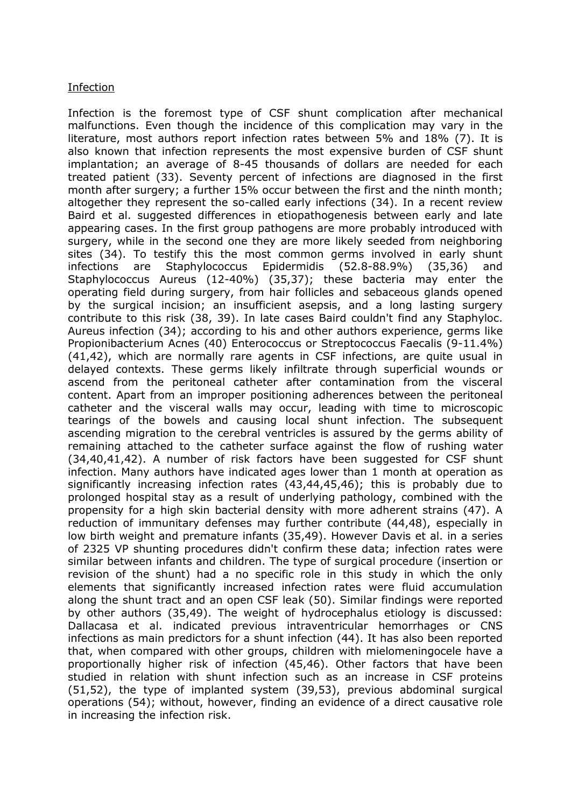#### **Infection**

Infection is the foremost type of CSF shunt complication after mechanical malfunctions. Even though the incidence of this complication may vary in the literature, most authors report infection rates between 5% and 18% (7). It is also known that infection represents the most expensive burden of CSF shunt implantation; an average of 8-45 thousands of dollars are needed for each treated patient (33). Seventy percent of infections are diagnosed in the first month after surgery; a further 15% occur between the first and the ninth month; altogether they represent the so-called early infections (34). In a recent review Baird et al. suggested differences in etiopathogenesis between early and late appearing cases. In the first group pathogens are more probably introduced with surgery, while in the second one they are more likely seeded from neighboring sites (34). To testify this the most common germs involved in early shunt infections are Staphylococcus Epidermidis (52.8-88.9%) (35,36) and Staphylococcus Aureus (12-40%) (35,37); these bacteria may enter the operating field during surgery, from hair follicles and sebaceous glands opened by the surgical incision; an insufficient asepsis, and a long lasting surgery contribute to this risk (38, 39). In late cases Baird couldn't find any Staphyloc. Aureus infection (34); according to his and other authors experience, germs like Propionibacterium Acnes (40) Enterococcus or Streptococcus Faecalis (9-11.4%) (41,42), which are normally rare agents in CSF infections, are quite usual in delayed contexts. These germs likely infiltrate through superficial wounds or ascend from the peritoneal catheter after contamination from the visceral content. Apart from an improper positioning adherences between the peritoneal catheter and the visceral walls may occur, leading with time to microscopic tearings of the bowels and causing local shunt infection. The subsequent ascending migration to the cerebral ventricles is assured by the germs ability of remaining attached to the catheter surface against the flow of rushing water (34,40,41,42). A number of risk factors have been suggested for CSF shunt infection. Many authors have indicated ages lower than 1 month at operation as significantly increasing infection rates (43,44,45,46); this is probably due to prolonged hospital stay as a result of underlying pathology, combined with the propensity for a high skin bacterial density with more adherent strains (47). A reduction of immunitary defenses may further contribute (44,48), especially in low birth weight and premature infants (35,49). However Davis et al. in a series of 2325 VP shunting procedures didn't confirm these data; infection rates were similar between infants and children. The type of surgical procedure (insertion or revision of the shunt) had a no specific role in this study in which the only elements that significantly increased infection rates were fluid accumulation along the shunt tract and an open CSF leak (50). Similar findings were reported by other authors (35,49). The weight of hydrocephalus etiology is discussed: Dallacasa et al. indicated previous intraventricular hemorrhages or CNS infections as main predictors for a shunt infection (44). It has also been reported that, when compared with other groups, children with mielomeningocele have a proportionally higher risk of infection (45,46). Other factors that have been studied in relation with shunt infection such as an increase in CSF proteins (51,52), the type of implanted system (39,53), previous abdominal surgical operations (54); without, however, finding an evidence of a direct causative role in increasing the infection risk.